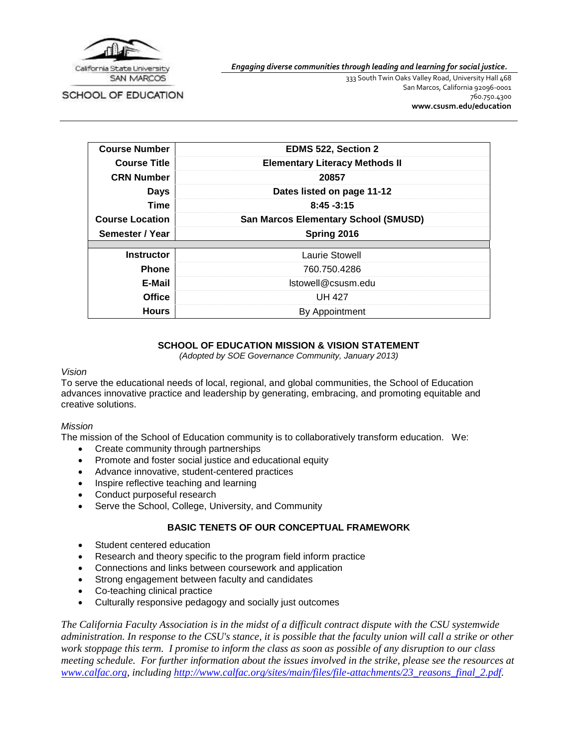

SCHOOL OF EDUCATION

*Engaging diverse communities through leading and learning for social justice.*

333 South Twin Oaks Valley Road, University Hall 468 San Marcos, California 92096-0001 760.750.4300 **[www.csusm.edu/education](http://www.csusm.edu/education)**

| <b>Course Number</b>   | <b>EDMS 522, Section 2</b>                  |  |
|------------------------|---------------------------------------------|--|
|                        |                                             |  |
| <b>Course Title</b>    | <b>Elementary Literacy Methods II</b>       |  |
| <b>CRN Number</b>      | 20857                                       |  |
| <b>Days</b>            | Dates listed on page 11-12                  |  |
| Time                   | $8:45 - 3:15$                               |  |
| <b>Course Location</b> | <b>San Marcos Elementary School (SMUSD)</b> |  |
|                        |                                             |  |
| Semester / Year        | Spring 2016                                 |  |
|                        |                                             |  |
| <b>Instructor</b>      | Laurie Stowell                              |  |
| <b>Phone</b>           | 760.750.4286                                |  |
| E-Mail                 | Istowell@csusm.edu                          |  |
| <b>Office</b>          | <b>UH 427</b>                               |  |

## **SCHOOL OF EDUCATION MISSION & VISION STATEMENT**

*(Adopted by SOE Governance Community, January 2013)*

#### *Vision*

To serve the educational needs of local, regional, and global communities, the School of Education advances innovative practice and leadership by generating, embracing, and promoting equitable and creative solutions.

#### *Mission*

The mission of the School of Education community is to collaboratively transform education. We:

- Create community through partnerships
- Promote and foster social justice and educational equity
- Advance innovative, student-centered practices
- Inspire reflective teaching and learning
- Conduct purposeful research
- Serve the School, College, University, and Community

## **BASIC TENETS OF OUR CONCEPTUAL FRAMEWORK**

- Student centered education
- Research and theory specific to the program field inform practice
- Connections and links between coursework and application
- Strong engagement between faculty and candidates
- Co-teaching clinical practice
- Culturally responsive pedagogy and socially just outcomes

*The California Faculty Association is in the midst of a difficult contract dispute with the CSU systemwide administration. In response to the CSU's stance, it is possible that the faculty union will call a strike or other work stoppage this term. I promise to inform the class as soon as possible of any disruption to our class meeting schedule. For further information about the issues involved in the strike, please see the resources at [www.calfac.org,](http://www.calfac.org/) including [http://www.calfac.org/sites/main/files/file-attachments/23\\_reasons\\_final\\_2.pdf.](http://www.calfac.org/sites/main/files/file-attachments/23_reasons_final_2.pdf)*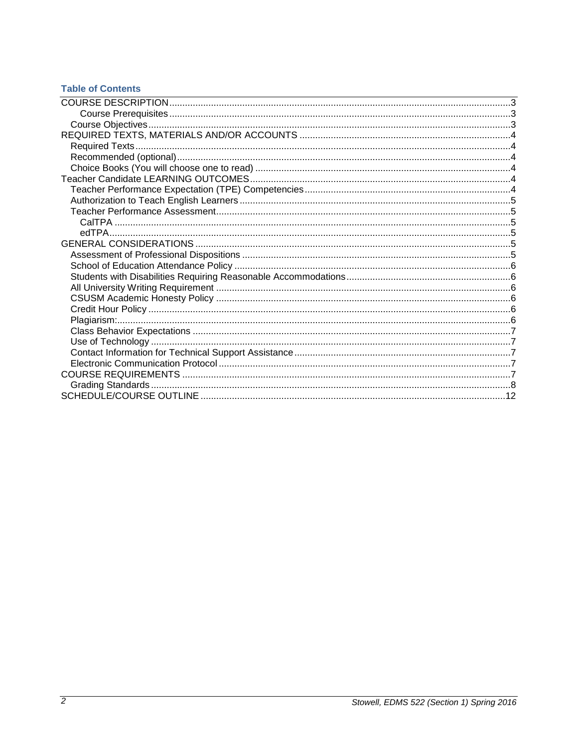# **Table of Contents**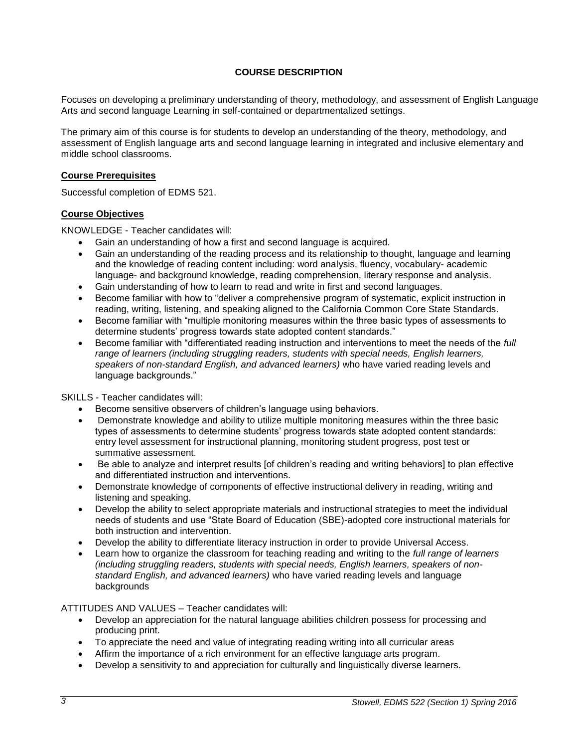## **COURSE DESCRIPTION**

<span id="page-2-0"></span>Focuses on developing a preliminary understanding of theory, methodology, and assessment of English Language Arts and second language Learning in self-contained or departmentalized settings.

The primary aim of this course is for students to develop an understanding of the theory, methodology, and assessment of English language arts and second language learning in integrated and inclusive elementary and middle school classrooms.

#### <span id="page-2-1"></span>**Course Prerequisites**

Successful completion of EDMS 521.

#### <span id="page-2-2"></span>**Course Objectives**

KNOWLEDGE - Teacher candidates will:

- Gain an understanding of how a first and second language is acquired.
- Gain an understanding of the reading process and its relationship to thought, language and learning and the knowledge of reading content including: word analysis, fluency, vocabulary- academic language- and background knowledge, reading comprehension, literary response and analysis.
- Gain understanding of how to learn to read and write in first and second languages.
- Become familiar with how to "deliver a comprehensive program of systematic, explicit instruction in reading, writing, listening, and speaking aligned to the California Common Core State Standards.
- Become familiar with "multiple monitoring measures within the three basic types of assessments to determine students' progress towards state adopted content standards."
- Become familiar with "differentiated reading instruction and interventions to meet the needs of the *full range of learners (including struggling readers, students with special needs, English learners, speakers of non-standard English, and advanced learners)* who have varied reading levels and language backgrounds."

SKILLS - Teacher candidates will:

- **Become sensitive observers of children's language using behaviors.**
- Demonstrate knowledge and ability to utilize multiple monitoring measures within the three basic types of assessments to determine students' progress towards state adopted content standards: entry level assessment for instructional planning, monitoring student progress, post test or summative assessment.
- Be able to analyze and interpret results [of children's reading and writing behaviors] to plan effective and differentiated instruction and interventions.
- Demonstrate knowledge of components of effective instructional delivery in reading, writing and listening and speaking.
- Develop the ability to select appropriate materials and instructional strategies to meet the individual needs of students and use "State Board of Education (SBE)-adopted core instructional materials for both instruction and intervention.
- Develop the ability to differentiate literacy instruction in order to provide Universal Access.
- Learn how to organize the classroom for teaching reading and writing to the *full range of learners (including struggling readers, students with special needs, English learners, speakers of nonstandard English, and advanced learners)* who have varied reading levels and language backgrounds

ATTITUDES AND VALUES – Teacher candidates will:

- Develop an appreciation for the natural language abilities children possess for processing and producing print.
- To appreciate the need and value of integrating reading writing into all curricular areas
- Affirm the importance of a rich environment for an effective language arts program.
- Develop a sensitivity to and appreciation for culturally and linguistically diverse learners.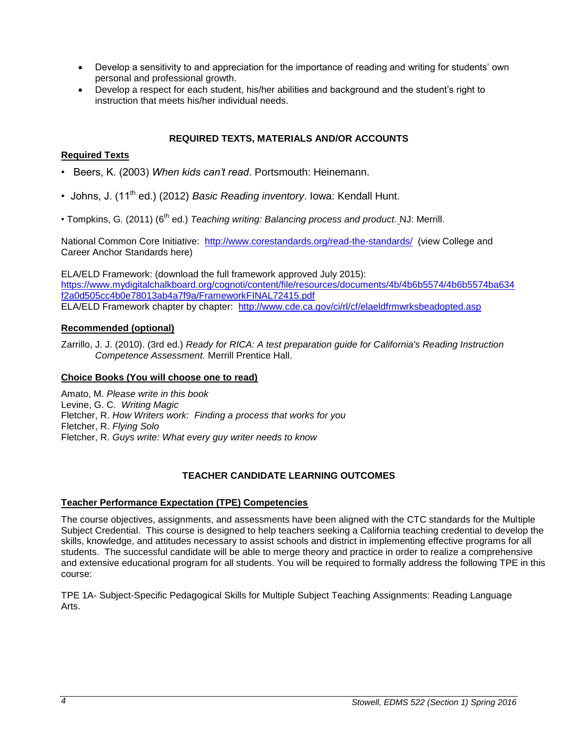- Develop a sensitivity to and appreciation for the importance of reading and writing for students' own personal and professional growth.
- Develop a respect for each student, his/her abilities and background and the student's right to instruction that meets his/her individual needs.

## **REQUIRED TEXTS, MATERIALS AND/OR ACCOUNTS**

## <span id="page-3-1"></span><span id="page-3-0"></span>**Required Texts**

- Beers, K. (2003) *When kids can't read*. Portsmouth: Heinemann.
- Johns, J. (11<sup>th</sup> ed.) (2012) *Basic Reading inventory*. Iowa: Kendall Hunt.
- Tompkins, G. (2011) (6<sup>th</sup> ed.) *Teaching writing: Balancing process and product.* NJ: Merrill.

National Common Core Initiative: <http://www.corestandards.org/read-the-standards/>(view College and Career Anchor Standards here)

ELA/ELD Framework: (download the full framework approved July 2015): [https://www.mydigitalchalkboard.org/cognoti/content/file/resources/documents/4b/4b6b5574/4b6b5574ba634](https://www.mydigitalchalkboard.org/cognoti/content/file/resources/documents/4b/4b6b5574/4b6b5574ba634f2a0d505cc4b0e78013ab4a7f9a/FrameworkFINAL72415.pdf) [f2a0d505cc4b0e78013ab4a7f9a/FrameworkFINAL72415.pdf](https://www.mydigitalchalkboard.org/cognoti/content/file/resources/documents/4b/4b6b5574/4b6b5574ba634f2a0d505cc4b0e78013ab4a7f9a/FrameworkFINAL72415.pdf) ELA/ELD Framework chapter by chapter: <http://www.cde.ca.gov/ci/rl/cf/elaeldfrmwrksbeadopted.asp>

## <span id="page-3-2"></span>**Recommended (optional)**

Zarrillo, J. J. (2010). (3rd ed.) *Ready for RICA: A test preparation guide for California's Reading Instruction Competence Assessment.* Merrill Prentice Hall.

### <span id="page-3-3"></span>**Choice Books (You will choose one to read)**

Amato, M. *Please write in this book* Levine, G. C. *Writing Magic* Fletcher, R. *How Writers work: Finding a process that works for you* Fletcher, R. *Flying Solo* Fletcher, R. *Guys write: What every guy writer needs to know*

## **TEACHER CANDIDATE LEARNING OUTCOMES**

## <span id="page-3-5"></span><span id="page-3-4"></span>**Teacher Performance Expectation (TPE) Competencies**

The course objectives, assignments, and assessments have been aligned with the CTC standards for the Multiple Subject Credential. This course is designed to help teachers seeking a California teaching credential to develop the skills, knowledge, and attitudes necessary to assist schools and district in implementing effective programs for all students. The successful candidate will be able to merge theory and practice in order to realize a comprehensive and extensive educational program for all students. You will be required to formally address the following TPE in this course:

TPE 1A- Subject-Specific Pedagogical Skills for Multiple Subject Teaching Assignments: Reading Language Arts.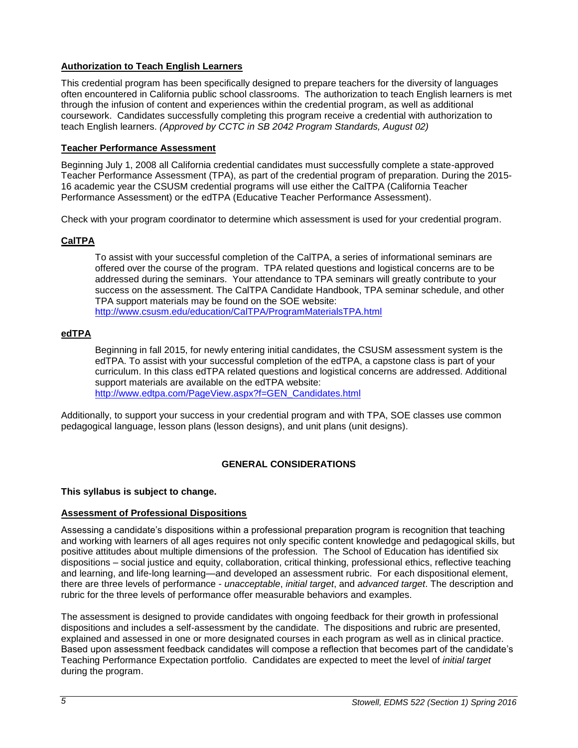## <span id="page-4-0"></span>**Authorization to Teach English Learners**

This credential program has been specifically designed to prepare teachers for the diversity of languages often encountered in California public school classrooms. The authorization to teach English learners is met through the infusion of content and experiences within the credential program, as well as additional coursework. Candidates successfully completing this program receive a credential with authorization to teach English learners. *(Approved by CCTC in SB 2042 Program Standards, August 02)*

## <span id="page-4-1"></span>**Teacher Performance Assessment**

Beginning July 1, 2008 all California credential candidates must successfully complete a state-approved Teacher Performance Assessment (TPA), as part of the credential program of preparation. During the 2015- 16 academic year the CSUSM credential programs will use either the CalTPA (California Teacher Performance Assessment) or the edTPA (Educative Teacher Performance Assessment).

Check with your program coordinator to determine which assessment is used for your credential program.

## <span id="page-4-2"></span>**CalTPA**

To assist with your successful completion of the CalTPA, a series of informational seminars are offered over the course of the program. TPA related questions and logistical concerns are to be addressed during the seminars. Your attendance to TPA seminars will greatly contribute to your success on the assessment. The CalTPA Candidate Handbook, TPA seminar schedule, and other TPA support materials may be found on the SOE website: <http://www.csusm.edu/education/CalTPA/ProgramMaterialsTPA.html>

## <span id="page-4-3"></span>**edTPA**

Beginning in fall 2015, for newly entering initial candidates, the CSUSM assessment system is the edTPA. To assist with your successful completion of the edTPA, a capstone class is part of your curriculum. In this class edTPA related questions and logistical concerns are addressed. Additional support materials are available on the edTPA website: [http://www.edtpa.com/PageView.aspx?f=GEN\\_Candidates.html](http://www.edtpa.com/PageView.aspx?f=GEN_Candidates.html)

Additionally, to support your success in your credential program and with TPA, SOE classes use common pedagogical language, lesson plans (lesson designs), and unit plans (unit designs).

## **GENERAL CONSIDERATIONS**

## <span id="page-4-4"></span>**This syllabus is subject to change.**

## <span id="page-4-5"></span>**Assessment of Professional Dispositions**

Assessing a candidate's dispositions within a professional preparation program is recognition that teaching and working with learners of all ages requires not only specific content knowledge and pedagogical skills, but positive attitudes about multiple dimensions of the profession. The School of Education has identified six dispositions – social justice and equity, collaboration, critical thinking, professional ethics, reflective teaching and learning, and life-long learning—and developed an assessment rubric. For each dispositional element, there are three levels of performance - *unacceptable*, *initial target*, and *advanced target*. The description and rubric for the three levels of performance offer measurable behaviors and examples.

The assessment is designed to provide candidates with ongoing feedback for their growth in professional dispositions and includes a self-assessment by the candidate. The dispositions and rubric are presented, explained and assessed in one or more designated courses in each program as well as in clinical practice. Based upon assessment feedback candidates will compose a reflection that becomes part of the candidate's Teaching Performance Expectation portfolio. Candidates are expected to meet the level of *initial target* during the program.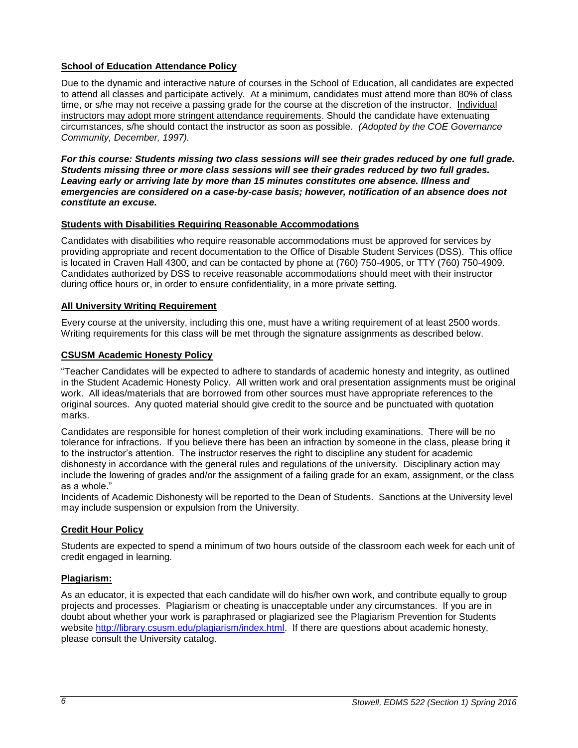## <span id="page-5-0"></span>**School of Education Attendance Policy**

Due to the dynamic and interactive nature of courses in the School of Education, all candidates are expected to attend all classes and participate actively. At a minimum, candidates must attend more than 80% of class time, or s/he may not receive a passing grade for the course at the discretion of the instructor. Individual instructors may adopt more stringent attendance requirements. Should the candidate have extenuating circumstances, s/he should contact the instructor as soon as possible. *(Adopted by the COE Governance Community, December, 1997).*

*For this course: Students missing two class sessions will see their grades reduced by one full grade. Students missing three or more class sessions will see their grades reduced by two full grades. Leaving early or arriving late by more than 15 minutes constitutes one absence. Illness and emergencies are considered on a case-by-case basis; however, notification of an absence does not constitute an excuse.* 

#### <span id="page-5-1"></span>**Students with Disabilities Requiring Reasonable Accommodations**

Candidates with disabilities who require reasonable accommodations must be approved for services by providing appropriate and recent documentation to the Office of Disable Student Services (DSS). This office is located in Craven Hall 4300, and can be contacted by phone at (760) 750-4905, or TTY (760) 750-4909. Candidates authorized by DSS to receive reasonable accommodations should meet with their instructor during office hours or, in order to ensure confidentiality, in a more private setting.

#### <span id="page-5-2"></span>**All University Writing Requirement**

Every course at the university, including this one, must have a writing requirement of at least 2500 words. Writing requirements for this class will be met through the signature assignments as described below.

#### <span id="page-5-3"></span>**CSUSM Academic Honesty Policy**

"Teacher Candidates will be expected to adhere to standards of academic honesty and integrity, as outlined in the Student Academic Honesty Policy. All written work and oral presentation assignments must be original work. All ideas/materials that are borrowed from other sources must have appropriate references to the original sources. Any quoted material should give credit to the source and be punctuated with quotation marks.

Candidates are responsible for honest completion of their work including examinations. There will be no tolerance for infractions. If you believe there has been an infraction by someone in the class, please bring it to the instructor's attention. The instructor reserves the right to discipline any student for academic dishonesty in accordance with the general rules and regulations of the university. Disciplinary action may include the lowering of grades and/or the assignment of a failing grade for an exam, assignment, or the class as a whole."

Incidents of Academic Dishonesty will be reported to the Dean of Students. Sanctions at the University level may include suspension or expulsion from the University.

## <span id="page-5-4"></span>**Credit Hour Policy**

Students are expected to spend a minimum of two hours outside of the classroom each week for each unit of credit engaged in learning.

#### <span id="page-5-5"></span>**Plagiarism:**

<span id="page-5-6"></span>As an educator, it is expected that each candidate will do his/her own work, and contribute equally to group projects and processes. Plagiarism or cheating is unacceptable under any circumstances. If you are in doubt about whether your work is paraphrased or plagiarized see the Plagiarism Prevention for Students website [http://library.csusm.edu/plagiarism/index.html.](http://library.csusm.edu/plagiarism/index.html) If there are questions about academic honesty, please consult the University catalog.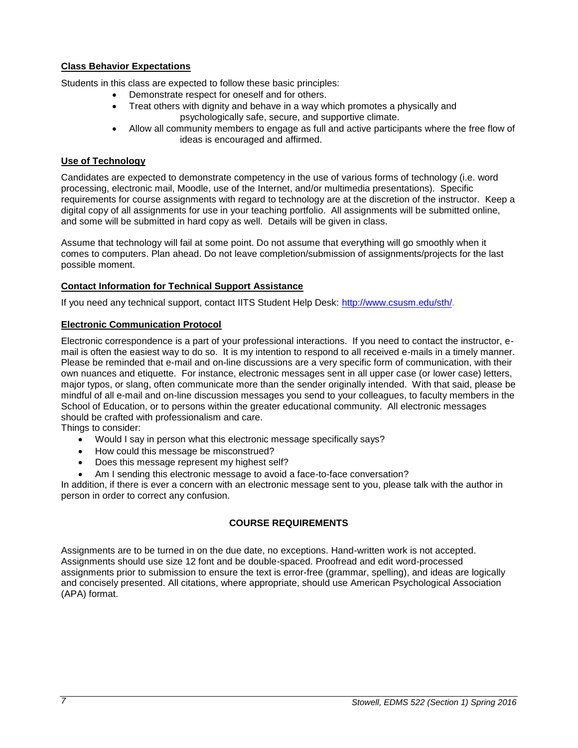## **Class Behavior Expectations**

Students in this class are expected to follow these basic principles:

- Demonstrate respect for oneself and for others.
- Treat others with dignity and behave in a way which promotes a physically and psychologically safe, secure, and supportive climate.
- Allow all community members to engage as full and active participants where the free flow of ideas is encouraged and affirmed.

## <span id="page-6-0"></span>**Use of Technology**

Candidates are expected to demonstrate competency in the use of various forms of technology (i.e. word processing, electronic mail, Moodle, use of the Internet, and/or multimedia presentations). Specific requirements for course assignments with regard to technology are at the discretion of the instructor. Keep a digital copy of all assignments for use in your teaching portfolio. All assignments will be submitted online, and some will be submitted in hard copy as well. Details will be given in class.

Assume that technology will fail at some point. Do not assume that everything will go smoothly when it comes to computers. Plan ahead. Do not leave completion/submission of assignments/projects for the last possible moment.

## <span id="page-6-1"></span>**Contact Information for Technical Support Assistance**

If you need any technical support, contact IITS Student Help Desk: [http://www.csusm.edu/sth/.](http://www.csusm.edu/sth/)

## <span id="page-6-2"></span>**Electronic Communication Protocol**

Electronic correspondence is a part of your professional interactions. If you need to contact the instructor, email is often the easiest way to do so. It is my intention to respond to all received e-mails in a timely manner. Please be reminded that e-mail and on-line discussions are a very specific form of communication, with their own nuances and etiquette. For instance, electronic messages sent in all upper case (or lower case) letters, major typos, or slang, often communicate more than the sender originally intended. With that said, please be mindful of all e-mail and on-line discussion messages you send to your colleagues, to faculty members in the School of Education, or to persons within the greater educational community. All electronic messages should be crafted with professionalism and care.

Things to consider:

- Would I say in person what this electronic message specifically says?
- How could this message be misconstrued?
- Does this message represent my highest self?
- Am I sending this electronic message to avoid a face-to-face conversation?

<span id="page-6-3"></span>In addition, if there is ever a concern with an electronic message sent to you, please talk with the author in person in order to correct any confusion.

## **COURSE REQUIREMENTS**

Assignments are to be turned in on the due date, no exceptions. Hand-written work is not accepted. Assignments should use size 12 font and be double-spaced. Proofread and edit word-processed assignments prior to submission to ensure the text is error-free (grammar, spelling), and ideas are logically and concisely presented. All citations, where appropriate, should use American Psychological Association (APA) format.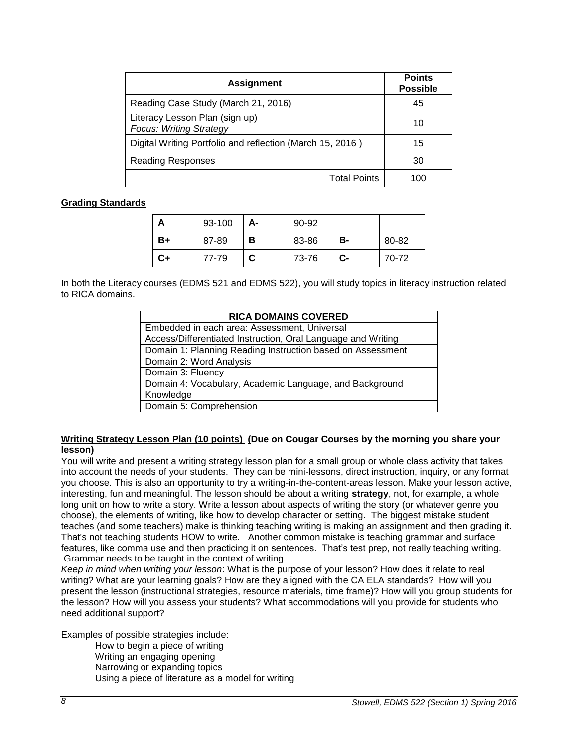| <b>Assignment</b>                                                | <b>Points</b><br><b>Possible</b> |
|------------------------------------------------------------------|----------------------------------|
| Reading Case Study (March 21, 2016)                              | 45                               |
| Literacy Lesson Plan (sign up)<br><b>Focus: Writing Strategy</b> | 10                               |
| Digital Writing Portfolio and reflection (March 15, 2016)        | 15                               |
| <b>Reading Responses</b>                                         | 30                               |
| <b>Total Points</b>                                              | 100                              |

## <span id="page-7-0"></span>**Grading Standards**

|    | 93-100 | А- | 90-92 |      |       |
|----|--------|----|-------|------|-------|
| B+ | 87-89  | в  | 83-86 | в-   | 80-82 |
| C+ | 77-79  | C. | 73-76 | $c-$ | 70-72 |

In both the Literacy courses (EDMS 521 and EDMS 522), you will study topics in literacy instruction related to RICA domains.

| <b>RICA DOMAINS COVERED</b>                                  |  |  |  |
|--------------------------------------------------------------|--|--|--|
| Embedded in each area: Assessment, Universal                 |  |  |  |
| Access/Differentiated Instruction, Oral Language and Writing |  |  |  |
| Domain 1: Planning Reading Instruction based on Assessment   |  |  |  |
| Domain 2: Word Analysis                                      |  |  |  |
| Domain 3: Fluency                                            |  |  |  |
| Domain 4: Vocabulary, Academic Language, and Background      |  |  |  |
| Knowledge                                                    |  |  |  |
| Domain 5: Comprehension                                      |  |  |  |

#### **Writing Strategy Lesson Plan (10 points) (Due on Cougar Courses by the morning you share your lesson)**

You will write and present a writing strategy lesson plan for a small group or whole class activity that takes into account the needs of your students. They can be mini-lessons, direct instruction, inquiry, or any format you choose. This is also an opportunity to try a writing-in-the-content-areas lesson. Make your lesson active, interesting, fun and meaningful. The lesson should be about a writing **strategy**, not, for example, a whole long unit on how to write a story. Write a lesson about aspects of writing the story (or whatever genre you choose), the elements of writing, like how to develop character or setting. The biggest mistake student teaches (and some teachers) make is thinking teaching writing is making an assignment and then grading it. That's not teaching students HOW to write. Another common mistake is teaching grammar and surface features, like comma use and then practicing it on sentences. That's test prep, not really teaching writing. Grammar needs to be taught in the context of writing.

*Keep in mind when writing your lesson*: What is the purpose of your lesson? How does it relate to real writing? What are your learning goals? How are they aligned with the CA ELA standards? How will you present the lesson (instructional strategies, resource materials, time frame)? How will you group students for the lesson? How will you assess your students? What accommodations will you provide for students who need additional support?

Examples of possible strategies include:

How to begin a piece of writing Writing an engaging opening Narrowing or expanding topics Using a piece of literature as a model for writing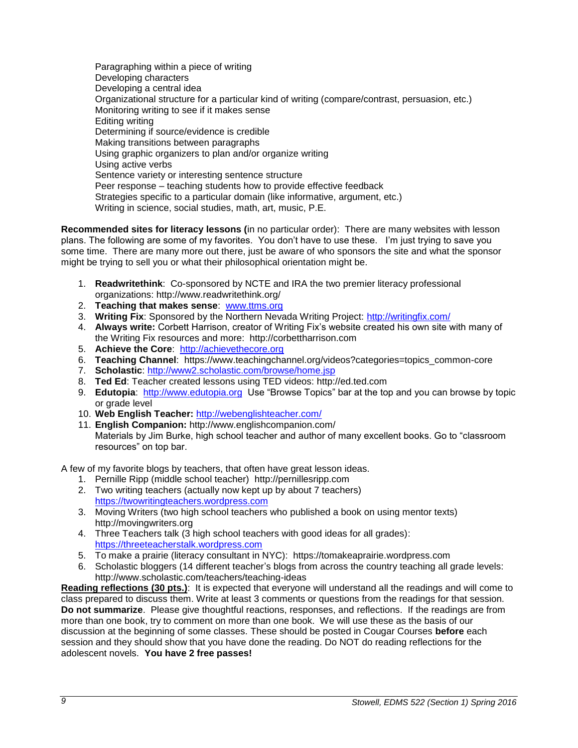Paragraphing within a piece of writing Developing characters Developing a central idea Organizational structure for a particular kind of writing (compare/contrast, persuasion, etc.) Monitoring writing to see if it makes sense Editing writing Determining if source/evidence is credible Making transitions between paragraphs Using graphic organizers to plan and/or organize writing Using active verbs Sentence variety or interesting sentence structure Peer response – teaching students how to provide effective feedback Strategies specific to a particular domain (like informative, argument, etc.) Writing in science, social studies, math, art, music, P.E.

**Recommended sites for literacy lessons (**in no particular order): There are many websites with lesson plans. The following are some of my favorites. You don't have to use these. I'm just trying to save you some time. There are many more out there, just be aware of who sponsors the site and what the sponsor might be trying to sell you or what their philosophical orientation might be.

- 1. **Readwritethink**: Co-sponsored by NCTE and IRA the two premier literacy professional organizations: http://www.readwritethink.org/
- 2. **Teaching that makes sense**: [www.ttms.org](http://www.ttms.org/)
- 3. **Writing Fix**: Sponsored by the Northern Nevada Writing Project:<http://writingfix.com/>
- 4. **Always write:** Corbett Harrison, creator of Writing Fix's website created his own site with many of the Writing Fix resources and more: http://corbettharrison.com
- 5. **Achieve the Core**: [http://achievethecore.org](http://achievethecore.org/)
- 6. **Teaching Channel**: https://www.teachingchannel.org/videos?categories=topics\_common-core
- 7. **Scholastic**:<http://www2.scholastic.com/browse/home.jsp>
- 8. **Ted Ed**: Teacher created lessons using TED videos: http://ed.ted.com
- 9. **Edutopia**: [http://www.edutopia.org](http://www.edutopia.org/) Use "Browse Topics" bar at the top and you can browse by topic or grade level
- 10. **Web English Teacher:** <http://webenglishteacher.com/>
- 11. **English Companion:** http://www.englishcompanion.com/ Materials by Jim Burke, high school teacher and author of many excellent books. Go to "classroom resources" on top bar.

A few of my favorite blogs by teachers, that often have great lesson ideas.

- 1. Pernille Ripp (middle school teacher) http://pernillesripp.com
- 2. Two writing teachers (actually now kept up by about 7 teachers) [https://twowritingteachers.wordpress.com](https://twowritingteachers.wordpress.com/)
- 3. Moving Writers (two high school teachers who published a book on using mentor texts) http://movingwriters.org
- 4. Three Teachers talk (3 high school teachers with good ideas for all grades): [https://threeteacherstalk.wordpress.com](https://threeteacherstalk.wordpress.com/)
- 5. To make a prairie (literacy consultant in NYC): https://tomakeaprairie.wordpress.com
- 6. Scholastic bloggers (14 different teacher's blogs from across the country teaching all grade levels: http://www.scholastic.com/teachers/teaching-ideas

**Reading reflections (30 pts.)**: It is expected that everyone will understand all the readings and will come to class prepared to discuss them. Write at least 3 comments or questions from the readings for that session. **Do not summarize**. Please give thoughtful reactions, responses, and reflections. If the readings are from more than one book, try to comment on more than one book. We will use these as the basis of our discussion at the beginning of some classes. These should be posted in Cougar Courses **before** each session and they should show that you have done the reading. Do NOT do reading reflections for the adolescent novels. **You have 2 free passes!**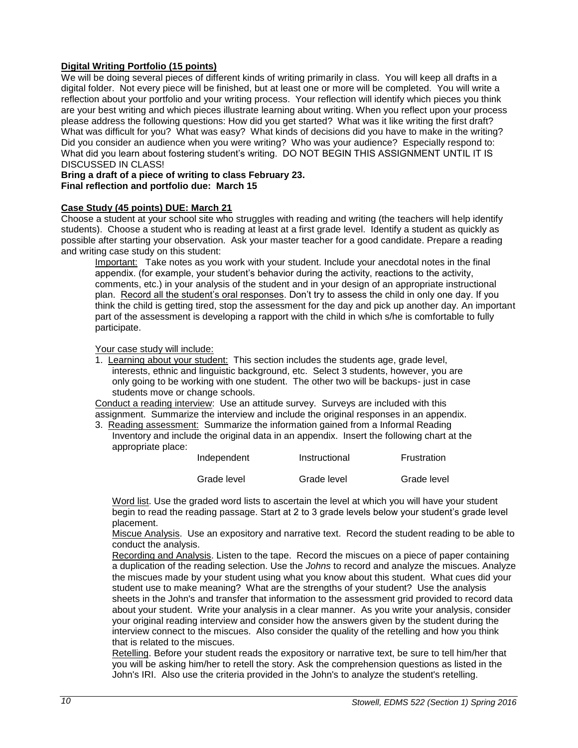## **Digital Writing Portfolio (15 points)**

We will be doing several pieces of different kinds of writing primarily in class. You will keep all drafts in a digital folder. Not every piece will be finished, but at least one or more will be completed. You will write a reflection about your portfolio and your writing process. Your reflection will identify which pieces you think are your best writing and which pieces illustrate learning about writing. When you reflect upon your process please address the following questions: How did you get started? What was it like writing the first draft? What was difficult for you? What was easy? What kinds of decisions did you have to make in the writing? Did you consider an audience when you were writing? Who was your audience? Especially respond to: What did you learn about fostering student's writing. DO NOT BEGIN THIS ASSIGNMENT UNTIL IT IS DISCUSSED IN CLASS!

#### **Bring a draft of a piece of writing to class February 23. Final reflection and portfolio due: March 15**

#### **Case Study (45 points) DUE: March 21**

Choose a student at your school site who struggles with reading and writing (the teachers will help identify students). Choose a student who is reading at least at a first grade level. Identify a student as quickly as possible after starting your observation. Ask your master teacher for a good candidate. Prepare a reading and writing case study on this student:

Important: Take notes as you work with your student. Include your anecdotal notes in the final appendix. (for example, your student's behavior during the activity, reactions to the activity, comments, etc.) in your analysis of the student and in your design of an appropriate instructional plan. Record all the student's oral responses. Don't try to assess the child in only one day. If you think the child is getting tired, stop the assessment for the day and pick up another day. An important part of the assessment is developing a rapport with the child in which s/he is comfortable to fully participate.

#### Your case study will include:

1. Learning about your student: This section includes the students age, grade level, interests, ethnic and linguistic background, etc. Select 3 students, however, you are only going to be working with one student. The other two will be backups- just in case students move or change schools.

Conduct a reading interview: Use an attitude survey. Surveys are included with this assignment. Summarize the interview and include the original responses in an appendix.

3. Reading assessment: Summarize the information gained from a Informal Reading Inventory and include the original data in an appendix. Insert the following chart at the appropriate place:

| Independent | Instructional | Frustration |
|-------------|---------------|-------------|
| Grade level | Grade level   | Grade level |

Word list. Use the graded word lists to ascertain the level at which you will have your student begin to read the reading passage. Start at 2 to 3 grade levels below your student's grade level placement.

Miscue Analysis. Use an expository and narrative text. Record the student reading to be able to conduct the analysis.

Recording and Analysis. Listen to the tape. Record the miscues on a piece of paper containing a duplication of the reading selection. Use the *Johns* to record and analyze the miscues. Analyze the miscues made by your student using what you know about this student. What cues did your student use to make meaning? What are the strengths of your student? Use the analysis sheets in the John's and transfer that information to the assessment grid provided to record data about your student. Write your analysis in a clear manner. As you write your analysis, consider your original reading interview and consider how the answers given by the student during the interview connect to the miscues. Also consider the quality of the retelling and how you think that is related to the miscues.

Retelling. Before your student reads the expository or narrative text, be sure to tell him/her that you will be asking him/her to retell the story. Ask the comprehension questions as listed in the John's IRI. Also use the criteria provided in the John's to analyze the student's retelling.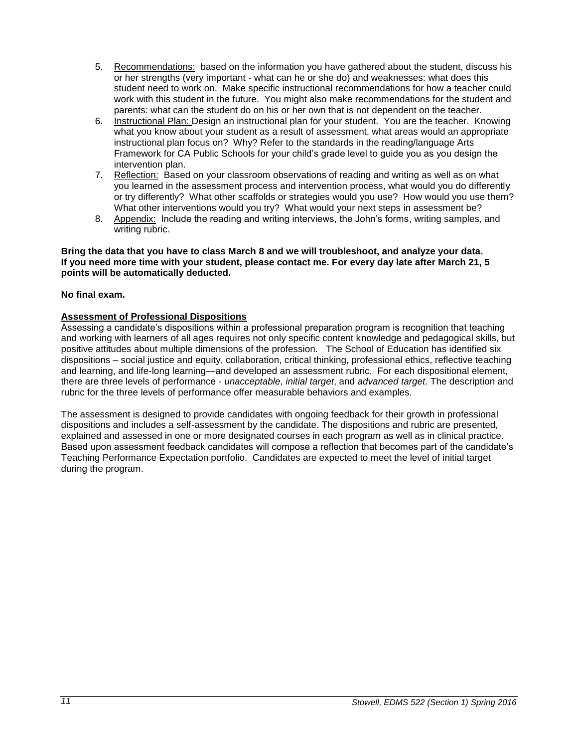- 5. Recommendations: based on the information you have gathered about the student, discuss his or her strengths (very important - what can he or she do) and weaknesses: what does this student need to work on. Make specific instructional recommendations for how a teacher could work with this student in the future. You might also make recommendations for the student and parents: what can the student do on his or her own that is not dependent on the teacher.
- 6. Instructional Plan: Design an instructional plan for your student. You are the teacher. Knowing what you know about your student as a result of assessment, what areas would an appropriate instructional plan focus on? Why? Refer to the standards in the reading/language Arts Framework for CA Public Schools for your child's grade level to guide you as you design the intervention plan.
- 7. Reflection: Based on your classroom observations of reading and writing as well as on what you learned in the assessment process and intervention process, what would you do differently or try differently? What other scaffolds or strategies would you use? How would you use them? What other interventions would you try? What would your next steps in assessment be?
- 8. Appendix: Include the reading and writing interviews, the John's forms, writing samples, and writing rubric.

#### **Bring the data that you have to class March 8 and we will troubleshoot, and analyze your data. If you need more time with your student, please contact me. For every day late after March 21, 5 points will be automatically deducted.**

## **No final exam.**

## **Assessment of Professional Dispositions**

Assessing a candidate's dispositions within a professional preparation program is recognition that teaching and working with learners of all ages requires not only specific content knowledge and pedagogical skills, but positive attitudes about multiple dimensions of the profession. The School of Education has identified six dispositions – social justice and equity, collaboration, critical thinking, professional ethics, reflective teaching and learning, and life-long learning—and developed an assessment rubric. For each dispositional element, there are three levels of performance - *unacceptable*, *initial target*, and *advanced target*. The description and rubric for the three levels of performance offer measurable behaviors and examples.

The assessment is designed to provide candidates with ongoing feedback for their growth in professional dispositions and includes a self-assessment by the candidate. The dispositions and rubric are presented, explained and assessed in one or more designated courses in each program as well as in clinical practice. Based upon assessment feedback candidates will compose a reflection that becomes part of the candidate's Teaching Performance Expectation portfolio. Candidates are expected to meet the level of initial target during the program.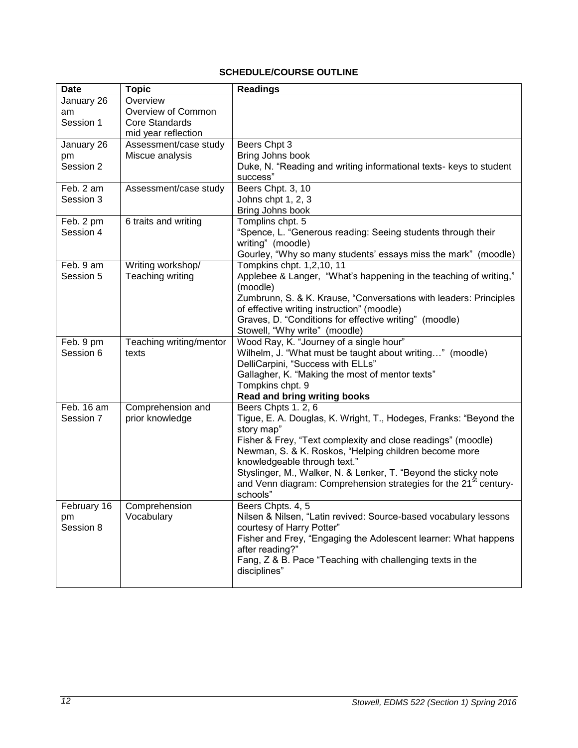# **SCHEDULE/COURSE OUTLINE**

<span id="page-11-0"></span>

| <b>Date</b>                     | <b>Topic</b>            | <b>Readings</b>                                                              |
|---------------------------------|-------------------------|------------------------------------------------------------------------------|
| January 26                      | Overview                |                                                                              |
| am                              | Overview of Common      |                                                                              |
| Session 1                       | <b>Core Standards</b>   |                                                                              |
|                                 | mid year reflection     |                                                                              |
| January 26                      | Assessment/case study   | Beers Chpt 3                                                                 |
| pm                              | Miscue analysis         | Bring Johns book                                                             |
| Session 2                       |                         | Duke, N. "Reading and writing informational texts- keys to student           |
|                                 |                         | success"                                                                     |
| Feb. 2 am                       | Assessment/case study   | Beers Chpt. 3, 10                                                            |
| Session 3                       |                         | Johns chpt 1, 2, 3                                                           |
|                                 |                         | Bring Johns book                                                             |
| Feb. 2 pm                       | 6 traits and writing    | Tomplins chpt. 5                                                             |
| Session 4                       |                         | "Spence, L. "Generous reading: Seeing students through their                 |
|                                 |                         | writing" (moodle)                                                            |
|                                 |                         | Gourley, "Why so many students' essays miss the mark" (moodle)               |
| Feb. 9 am                       | Writing workshop/       | Tompkins chpt. 1,2,10, 11                                                    |
| Session 5                       | Teaching writing        | Applebee & Langer, "What's happening in the teaching of writing,"            |
|                                 |                         | (moodle)                                                                     |
|                                 |                         | Zumbrunn, S. & K. Krause, "Conversations with leaders: Principles            |
|                                 |                         | of effective writing instruction" (moodle)                                   |
|                                 |                         | Graves, D. "Conditions for effective writing" (moodle)                       |
|                                 |                         | Stowell, "Why write" (moodle)                                                |
| Feb. 9 pm                       | Teaching writing/mentor | Wood Ray, K. "Journey of a single hour"                                      |
| Session 6                       | texts                   | Wilhelm, J. "What must be taught about writing" (moodle)                     |
|                                 |                         | DelliCarpini, "Success with ELLs"                                            |
|                                 |                         | Gallagher, K. "Making the most of mentor texts"                              |
|                                 |                         | Tompkins chpt. 9                                                             |
|                                 |                         | <b>Read and bring writing books</b>                                          |
| $\overline{\text{Feb}}$ . 16 am | Comprehension and       | Beers Chpts 1.2, 6                                                           |
| Session 7                       | prior knowledge         | Tigue, E. A. Douglas, K. Wright, T., Hodeges, Franks: "Beyond the            |
|                                 |                         | story map"                                                                   |
|                                 |                         | Fisher & Frey, "Text complexity and close readings" (moodle)                 |
|                                 |                         | Newman, S. & K. Roskos, "Helping children become more                        |
|                                 |                         | knowledgeable through text."                                                 |
|                                 |                         | Styslinger, M., Walker, N. & Lenker, T. "Beyond the sticky note              |
|                                 |                         | and Venn diagram: Comprehension strategies for the 21 <sup>st</sup> century- |
|                                 |                         | schools"                                                                     |
| February 16                     | Comprehension           | Beers Chpts. 4, 5                                                            |
| pm                              | Vocabulary              | Nilsen & Nilsen, "Latin revived: Source-based vocabulary lessons             |
| Session 8                       |                         | courtesy of Harry Potter"                                                    |
|                                 |                         | Fisher and Frey, "Engaging the Adolescent learner: What happens              |
|                                 |                         | after reading?"                                                              |
|                                 |                         | Fang, Z & B. Pace "Teaching with challenging texts in the                    |
|                                 |                         | disciplines"                                                                 |
|                                 |                         |                                                                              |